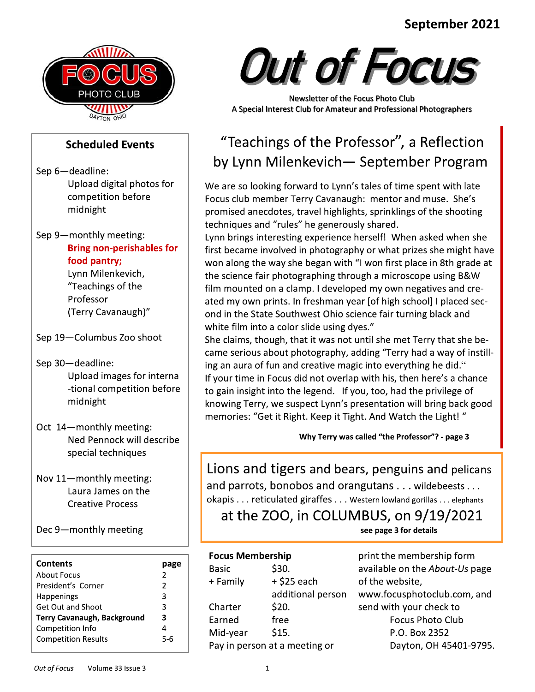#### in the contract of the contract of the contract of the contract of the contract of the contract of the contract<br>The contract of the contract of the contract of the contract of the contract of the contract of the contract o eptember 2021



# Scheduled Events

Sep 6-deadline: Upload digital photos for competition before midnight

Sep 9-monthly meeting: Bring non-perishables for food pantry;

Lynn Milenkevich, "Teachings of the Professor (Terry Cavanaugh)"

Sep 19-Columbus Zoo shoot

Sep 30-deadline: Upload images for interna -tional competition before midnight Sep 30—deadline:<br>
Upload images for interna<br>
ing an<br>
-tional competition before<br>
midnight<br>
Oct 14—monthly meeting:<br>
Nov 11—monthly meeting:<br>
Lion<br>
Lion<br>
Lion<br>
Lion<br>
Lion<br>
Lion<br>
Lion<br>
Lion<br>
Lion<br>
Lion<br>
Lion<br>
Lion<br>
Lion<br>
Lio

- Oct 14-monthly meeting:<br>Ned Pennock will describe special techniques
- Nov  $11$ -monthly meeting: Laura James on the **Creative Process**

Dec 9-monthly meeting

| Contents                           | page          |
|------------------------------------|---------------|
| About Focus                        | 2             |
| President's Corner                 | $\mathcal{P}$ |
| <b>Happenings</b>                  | 3             |
| Get Out and Shoot                  | 3             |
| <b>Terry Cavanaugh, Background</b> | 3             |
| Competition Info                   | 4             |
| <b>Competition Results</b>         | 5-6           |



Newsletter of the Focus Photo Club<br>A Special Interest Club for Amateur and Professional Photographers

# "Teachings of the Professor", a Reflection by Lynn Milenkevich-September Program

We are so looking forward to Lynn's tales of time spent with late Focus club member Terry Cavanaugh: mentor and muse. She's promised anecdotes, travel highlights, sprinklings of the shooting techniques and "rules" he generously shared.<br>Lynn brings interesting experience herself! When asked when she

September 2021<br>
Scheduled Events<br>
Scheduled Events<br>
Scheduled Events<br>
Scheduled Events<br>
Scheduled Events<br>
Scheduled Events<br>
Scheduled Events<br>
Scheduled Events<br>
Scheduled Events<br>
Scheduled Events<br>
Scheduled Events<br>
Teachin September 2021<br>
Scheduled Events<br>
Scheduled Events<br>
Scheduled Events<br>
Scheduled Events<br>
Scheduled Events<br>
Scheduled Events<br>
Scheduled Events<br>
Scheduled Events<br>
Scheduled Events<br>
Scheduled Events<br>
Scheduled Events<br>
Teachin September 2021<br>
Scheduled Events<br>
Scheduled Events<br>
Scheduled Events<br>
Scheduled Events<br>
Scheduled Events<br>
Scheduled Events<br>
Scheduled Events<br>
Scheduled Events<br>
Scheduled Events<br>
Scheduled Events<br>
Scheduled Events<br>
Teachin September 2021<br>
Scheduled Events<br>
Scheduled Events<br>
Scheduled Events<br>
Scheduled Events<br>
Scheduled Events<br>
Scheduled Events<br>
Scheduled Events<br>
Scheduled Events<br>
Scheduled Events<br>
Scheduled Events<br>
Teachings of the Professor September 2021<br>
For Coulse September 2021<br>
Proposed as a small of the Professor", a Reflection<br>
Scheduled Events<br>
Scheduled Events<br>
Using of the Professor", a Reflection<br>
Using any William Meridian in the state of the pro "Teachings of the Professor", a Reflection<br>by Lynn Milenkevich— September Program<br>we are so looking forward to Lynn's tales of time spent with late<br>Focus club member Terry Cavanaugh: mentor and muse. She's<br>promised anecdot by Lynn Milenkevich — September Program<br>We are so looking forward to Lynn's tales of time spent with late<br>Focus club member Terry Cavanaugh: mentor and muse. She's<br>promised anecdotes, travel highlights, sprinklings of the won along the way she began with "I won first place in 8th grade at the science fair photographing through a microscope using B&W We are so looking lot wand to Eyims staes of three spent which are<br>promised anecdotes, travel highlights, sprinklings of the shooting<br>promised anecdotes, travel highlights, sprinklings of the shooting<br>techniques and "rules Frocus club intention-<br>
From the ancedotes, travel highlights, sprinklings of the shooting<br>
techniques and "rules" he generously shared.<br>
Lynn brings interesting experience herself! When asked when she<br>
first became involv promised anecdotes, travernigingnts, sprinkings or the shooting<br>techniques and "rules" he generously shared.<br>Lynn brings interesting experience herestelf! When asked when sh<br>first became involved in photography or what pri white film into a color slide using dyes."<br>She claims, though, that it was not until she met Terry that she be-Eymi bings interesting experience nerseri: When assed when sine<br>first became involved in photography or what prizes she might have<br>won along the way she began with "I won first place in 8th grade at<br>the science fair photog

mat vectame involved in phrotography of wind pirrac s are might inact<br>won along the way she began with "I won first place in 8th grade at<br>the science fair photographing through a microscope using B&W<br>film mounted on a clam ing an aura of fun and creative magic into everything he did." If your time in Focus did not overlap with his, then here's a chance to gain insight into the legend. If you, too, had the privilege of knowing Terry, we suspect Lynn's presentation will bring back good memories: "Get it Right. Keep it Tight. And Watch the Light!"

Why Terry was called "the Professor"? - page 3

Lions and tigers and bears, penguins and pelicans<br>and parrots, bonobos and orangutans . . . wildebeests . . . to gain insight into the legend. If you, too, had the privilege of<br>
showing Terry, we suspect Lynn's presentation will bring back good<br>
memories: "Get it Right. Keep it Tight. And Watch the Light!"<br>
Why Terry was called "t Why Terry was called "the Professor"? - page 3<br>
Lions and tigers and bears, penguins and pelicans<br>
and parrots, bonobos and orangutans...wildebeests...<br>
okapis...reticulated giraffes...western lowland gorillas...elephants<br>

at the ZOO, in COLUMBUS, on  $9/19/2021$ 

see page 3 for details

### Focus Membership

| Basic    | \$30.                         |
|----------|-------------------------------|
| + Family | $+$ \$25 each                 |
|          | additional person             |
| Charter  | \$20.                         |
| Earned   | free                          |
| Mid-year | \$15.                         |
|          | Pay in person at a meeting or |

print the membership form available on the About-Us page<br>of the website, Morthostopher Stated giraffer Allienties Allienties Allienties Allienties Allienties Allienties Allienties Allienties Page 3 for details<br>
(A) in COLUMBUS, on 9/19/2021<br>
see page 3 for details<br>
(A) print the membership form reticulated giraffes . . . Western lowland gorillas . . . elephants<br>
2 ZOO, in COLUMBUS, on 9/19/2021<br>
see page 3 for details<br>
mbership print the membership form<br>
\$30. available on the About-Us page<br>
+ \$25 each of the webs OLUMBUS, ON 9/19/2021<br>
see page 3 for details<br>
in the membership form<br>
30. available on the *About-Us* page<br>
\$25 each of the website,<br>
dditional person www.focusphotoclub.com, an<br>
send with your check to<br>
Focus Photo Club<br> Focus Photo Club P.O. Box 2352 Dayton, OH 45401-9795.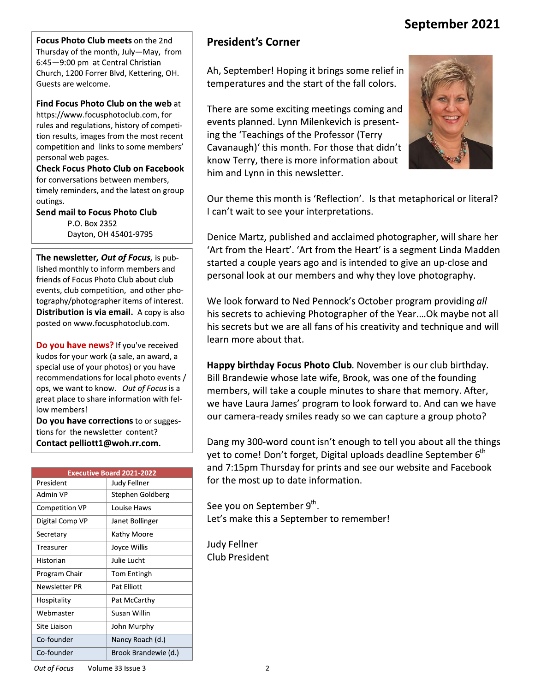## September 2021

Focus Photo Club meets on the 2nd Thursday of the month, July-May, from 6:45-9:00 pm at Central Christian Church, 1200 Forrer Blvd, Kettering, OH. Guests are welcome.

Find Focus Photo Club on the web at

https://www.focusphotoclub.com, for rules and regulations, history of competition results, images from the most recent competition and links to some members' personal web pages.

**Check Focus Photo Club on Facebook** for conversations between members, timely reminders, and the latest on group outings.

**Send mail to Focus Photo Club** P.O. Box 2352 Dayton, OH 45401-9795

The newsletter, Out of Focus, is published monthly to inform members and friends of Focus Photo Club about club events, club competition, and other photography/photographer items of interest. Distribution is via email. A copy is also posted on www.focusphotoclub.com.

Do you have news? If you've received kudos for your work (a sale, an award, a special use of your photos) or you have recommendations for local photo events / ops, we want to know. Out of Focus is a great place to share information with fellow members!

Do you have corrections to or suggestions for the newsletter content? Contact pelliott1@woh.rr.com.

| <b>Executive Board 2021-2022</b> |                      |  |  |
|----------------------------------|----------------------|--|--|
| President                        | Judy Fellner         |  |  |
| Admin VP                         | Stephen Goldberg     |  |  |
| <b>Competition VP</b>            | Louise Haws          |  |  |
| Digital Comp VP                  | Janet Bollinger      |  |  |
| Secretary                        | Kathy Moore          |  |  |
| Treasurer                        | Joyce Willis         |  |  |
| Historian                        | Julie Lucht          |  |  |
| Program Chair                    | Tom Entingh          |  |  |
| Newsletter PR                    | Pat Elliott          |  |  |
| Hospitality                      | Pat McCarthy         |  |  |
| Webmaster                        | Susan Willin         |  |  |
| Site Liaison                     | John Murphy          |  |  |
| Co-founder                       | Nancy Roach (d.)     |  |  |
| Co-founder                       | Brook Brandewie (d.) |  |  |

### **President's Corner**

Ah, September! Hoping it brings some relief in temperatures and the start of the fall colors.

There are some exciting meetings coming and events planned. Lynn Milenkevich is presenting the 'Teachings of the Professor (Terry Cavanaugh)' this month. For those that didn't know Terry, there is more information about him and Lynn in this newsletter.



Our theme this month is 'Reflection'. Is that metaphorical or literal? I can't wait to see your interpretations.

Denice Martz, published and acclaimed photographer, will share her 'Art from the Heart'. 'Art from the Heart' is a segment Linda Madden started a couple years ago and is intended to give an up-close and personal look at our members and why they love photography.

We look forward to Ned Pennock's October program providing all his secrets to achieving Photographer of the Year.... Ok maybe not all his secrets but we are all fans of his creativity and technique and will learn more about that.

Happy birthday Focus Photo Club. November is our club birthday. Bill Brandewie whose late wife, Brook, was one of the founding members, will take a couple minutes to share that memory. After, we have Laura James' program to look forward to. And can we have our camera-ready smiles ready so we can capture a group photo?

Dang my 300-word count isn't enough to tell you about all the things yet to come! Don't forget, Digital uploads deadline September 6<sup>th</sup> and 7:15pm Thursday for prints and see our website and Facebook for the most up to date information.

See you on September 9th. Let's make this a September to remember!

**Judy Fellner Club President**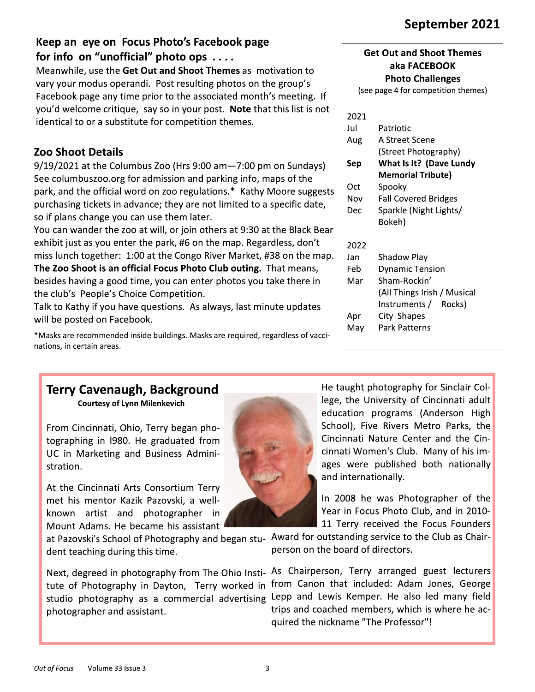# September 2021

## Keep an eye on Focus Photo's Facebook page for info on "unofficial" photo ops ....

Meanwhile, use the Get Out and Shoot Themes as motivation to vary your modus operandi. Post resulting photos on the group's Facebook page any time prior to the associated month's meeting. If you'd welcome critique, say so in your post. Note that this list is not identical to or a substitute for competition themes.

## **Zoo Shoot Details**

9/19/2021 at the Columbus Zoo (Hrs 9:00 am-7:00 pm on Sundays) See columbuszoo.org for admission and parking info, maps of the park, and the official word on zoo regulations.\* Kathy Moore suggests purchasing tickets in advance; they are not limited to a specific date, so if plans change you can use them later.

You can wander the zoo at will, or join others at 9:30 at the Black Bear exhibit just as you enter the park, #6 on the map. Regardless, don't miss lunch together: 1:00 at the Congo River Market, #38 on the map. The Zoo Shoot is an official Focus Photo Club outing. That means, besides having a good time, you can enter photos you take there in the club's People's Choice Competition.

Talk to Kathy if you have questions. As always, last minute updates will be posted on Facebook.

\*Masks are recommended inside buildings. Masks are required, regardless of vaccinations, in certain areas.

### **Get Out and Shoot Themes** aka FACEBOOK **Photo Challenges**

(see page 4 for competition themes)

| 2021 |                             |  |
|------|-----------------------------|--|
| Jul  | Patriotic                   |  |
| Aug  | A Street Scene              |  |
|      | (Street Photography)        |  |
| Sep  | What Is It? (Dave Lundy     |  |
|      | Memorial Tribute)           |  |
| Oct  | Spooky                      |  |
| Nov  | <b>Fall Covered Bridges</b> |  |
| Dec  | Sparkle (Night Lights/      |  |
|      | Bokeh)                      |  |
| 2022 |                             |  |
| Jan  | Shadow Play                 |  |
| Feb  | <b>Dynamic Tension</b>      |  |
| Mar  | Sham-Rockin'                |  |
|      | (All Things Irish / Musical |  |
|      | Instruments / Rocks)        |  |
| Apr  | City Shapes                 |  |
| Mav  | Park Patterns               |  |

### **Terry Cavenaugh, Background Courtesy of Lynn Milenkevich**

From Cincinnati, Ohio, Terry began photographing in 1980. He graduated from UC in Marketing and Business Administration.

At the Cincinnati Arts Consortium Terry met his mentor Kazik Pazovski, a wellknown artist and photographer in Mount Adams. He became his assistant

dent teaching during this time.

tute of Photography in Dayton, Terry worked in from Canon that included: Adam Jones, George studio photography as a commercial advertising Lepp and Lewis Kemper. He also led many field photographer and assistant.



He taught photography for Sinclair College, the University of Cincinnati adult education programs (Anderson High School), Five Rivers Metro Parks, the Cincinnati Nature Center and the Cincinnati Women's Club. Many of his images were published both nationally and internationally.

In 2008 he was Photographer of the Year in Focus Photo Club, and in 2010-11 Terry received the Focus Founders

at Pazovski's School of Photography and began stu- Award for outstanding service to the Club as Chairperson on the board of directors.

Next, degreed in photography from The Ohio Insti- As Chairperson, Terry arranged guest lecturers trips and coached members, which is where he acquired the nickname "The Professor"!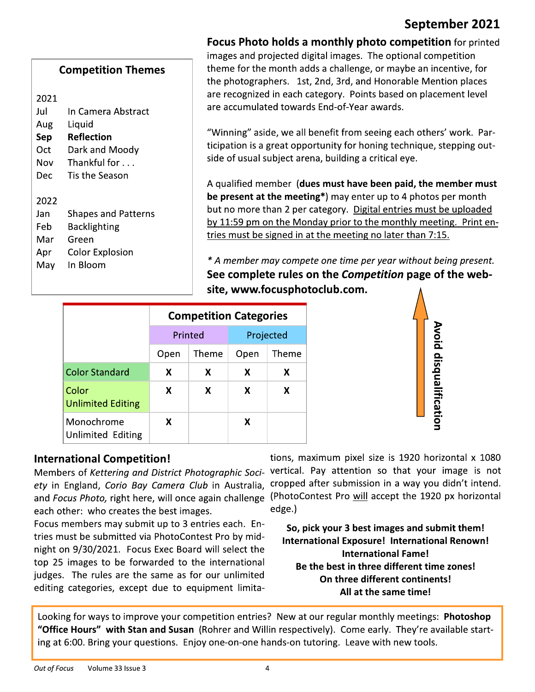## September 2021

| <b>Competition Themes</b> |                    |  |  |  |
|---------------------------|--------------------|--|--|--|
| 2021                      |                    |  |  |  |
| Jul                       | In Camera Abstract |  |  |  |
| Aug                       | Liquid             |  |  |  |
| Sep                       | Reflection         |  |  |  |
| Oct                       | Dark and Moody     |  |  |  |
| Nov                       | Thankful for       |  |  |  |
| Dec                       | Tis the Season     |  |  |  |
|                           |                    |  |  |  |

**Shapes and Patterns** 

**Backlighting** 

**Color Explosion** 

Green

In Bloom

2022

Jan

Feb

Mar

Apr

May

**Focus Photo holds a monthly photo competition** for printed images and projected digital images. The optional competition theme for the month adds a challenge, or maybe an incentive, for the photographers. 1st, 2nd, 3rd, and Honorable Mention places are recognized in each category. Points based on placement level are accumulated towards End-of-Year awards.

"Winning" aside, we all benefit from seeing each others' work. Participation is a great opportunity for honing technique, stepping outside of usual subject arena, building a critical eye.

A qualified member (dues must have been paid, the member must be present at the meeting\*) may enter up to 4 photos per month but no more than 2 per category. Digital entries must be uploaded by 11:59 pm on the Monday prior to the monthly meeting. Print entries must be signed in at the meeting no later than 7:15.

\* A member may compete one time per year without being present. See complete rules on the Competition page of the website, www.focusphotoclub.com.

|                                   | <b>Competition Categories</b> |         |               |   |
|-----------------------------------|-------------------------------|---------|---------------|---|
|                                   |                               | Printed | Projected     |   |
|                                   | Theme<br>Open                 |         | Theme<br>Open |   |
| <b>Color Standard</b>             | X                             | X       | X             | x |
| Color<br><b>Unlimited Editing</b> | x                             | X       | X             | x |
| Monochrome<br>Unlimited Editing   | x                             |         | x             |   |



### **International Competition!**

Members of Kettering and District Photographic Society in England, Corio Bay Camera Club in Australia, and Focus Photo, right here, will once again challenge (PhotoContest Pro will accept the 1920 px horizontal each other: who creates the best images.

Focus members may submit up to 3 entries each. Entries must be submitted via PhotoContest Pro by midnight on 9/30/2021. Focus Exec Board will select the top 25 images to be forwarded to the international judges. The rules are the same as for our unlimited editing categories, except due to equipment limita-

tions, maximum pixel size is 1920 horizontal x 1080 vertical. Pay attention so that your image is not cropped after submission in a way you didn't intend. edge.)

So, pick your 3 best images and submit them! International Exposure! International Renown! **International Fame!** Be the best in three different time zones! On three different continents! All at the same time!

Looking for ways to improve your competition entries? New at our regular monthly meetings: Photoshop "Office Hours" with Stan and Susan (Rohrer and Willin respectively). Come early. They're available starting at 6:00. Bring your questions. Enjoy one-on-one hands-on tutoring. Leave with new tools.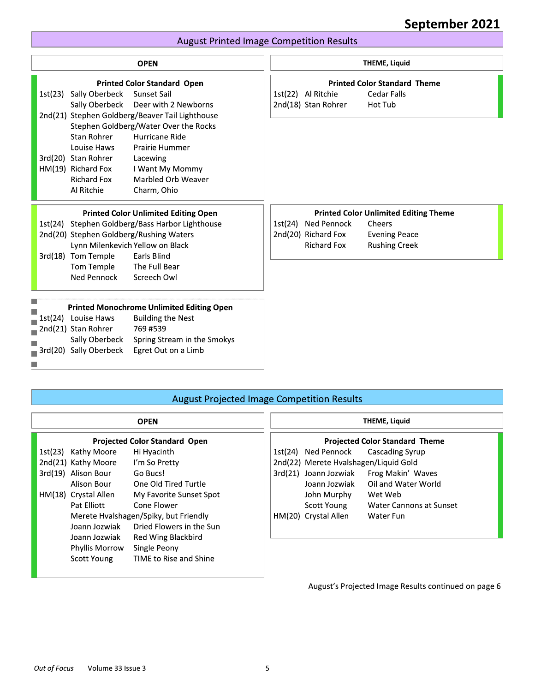#### <u>- Se se estadounidense en la construcción de la construcción de la construcción de la construcción de la cons</u> <u>eptember 2021 </u>

### August Printed Image Competition Results

|                    |                        | <b>August Printed Image Competition Results</b>  |                     |                                              |
|--------------------|------------------------|--------------------------------------------------|---------------------|----------------------------------------------|
|                    |                        | <b>OPEN</b>                                      |                     | <b>THEME, Liquid</b>                         |
|                    |                        | <b>Printed Color Standard Open</b>               |                     | <b>Printed Color Standard Theme</b>          |
|                    | 1st(23) Sally Oberbeck | Sunset Sail                                      | 1st(22) Al Ritchie  | <b>Cedar Falls</b>                           |
|                    | Sally Oberbeck         | Deer with 2 Newborns                             | 2nd(18) Stan Rohrer | Hot Tub                                      |
|                    |                        | 2nd(21) Stephen Goldberg/Beaver Tail Lighthouse  |                     |                                              |
|                    |                        | Stephen Goldberg/Water Over the Rocks            |                     |                                              |
|                    | Stan Rohrer            | Hurricane Ride                                   |                     |                                              |
|                    | Louise Haws            | Prairie Hummer                                   |                     |                                              |
|                    | 3rd(20) Stan Rohrer    | Lacewing                                         |                     |                                              |
| HM(19) Richard Fox |                        | I Want My Mommy                                  |                     |                                              |
|                    | <b>Richard Fox</b>     | Marbled Orb Weaver                               |                     |                                              |
|                    | Al Ritchie             | Charm, Ohio                                      |                     |                                              |
|                    |                        | <b>Printed Color Unlimited Editing Open</b>      |                     | <b>Printed Color Unlimited Editing Theme</b> |
|                    |                        | 1st(24) Stephen Goldberg/Bass Harbor Lighthouse  | 1st(24) Ned Pennock | Cheers                                       |
|                    |                        | 2nd(20) Stephen Goldberg/Rushing Waters          | 2nd(20) Richard Fox | <b>Evening Peace</b>                         |
|                    |                        | Lynn Milenkevich Yellow on Black                 | <b>Richard Fox</b>  | <b>Rushing Creek</b>                         |
|                    | 3rd(18) Tom Temple     | Earls Blind                                      |                     |                                              |
|                    | Tom Temple             | The Full Bear                                    |                     |                                              |
|                    | Ned Pennock            | Screech Owl                                      |                     |                                              |
|                    |                        | <b>Printed Monochrome Unlimited Editing Open</b> |                     |                                              |
|                    | 1st(24) Louise Haws    | <b>Building the Nest</b>                         |                     |                                              |
|                    | 2nd(21) Stan Rohrer    | 769 #539                                         |                     |                                              |
|                    | Sally Oberbeck         | Spring Stream in the Smokys                      |                     |                                              |
|                    | 3rd(20) Sally Oberbeck | Egret Out on a Limb                              |                     |                                              |

### August Projected Image Competition Results

| 3rd(20) Sally Oberbeck<br>T. | Egret Out on a Limb                               |                       |                                       |
|------------------------------|---------------------------------------------------|-----------------------|---------------------------------------|
|                              |                                                   |                       |                                       |
|                              | <b>August Projected Image Competition Results</b> |                       |                                       |
|                              | <b>OPEN</b>                                       |                       | <b>THEME, Liquid</b>                  |
|                              | <b>Projected Color Standard Open</b>              |                       | <b>Projected Color Standard Theme</b> |
| 1st(23)<br>Kathy Moore       | Hi Hyacinth                                       | 1st(24) Ned Pennock   | Cascading Syrup                       |
| 2nd(21) Kathy Moore          | I'm So Pretty                                     |                       | 2nd(22) Merete Hvalshagen/Liquid Gold |
| 3rd(19) Alison Bour          | Go Bucs!                                          | 3rd(21) Joann Jozwiak | Frog Makin' Waves                     |
| Alison Bour                  | One Old Tired Turtle                              | Joann Jozwiak         | Oil and Water World                   |
| HM(18) Crystal Allen         | My Favorite Sunset Spot                           | John Murphy           | Wet Web                               |
| Pat Elliott                  | Cone Flower                                       | Scott Young           | Water Cannons at Sunset               |
|                              | Merete Hvalshagen/Spiky, but Friendly             | HM(20) Crystal Allen  | Water Fun                             |
| Joann Jozwiak                | Dried Flowers in the Sun                          |                       |                                       |
| Joann Jozwiak                | Red Wing Blackbird                                |                       |                                       |
| Phyllis Morrow               | Single Peony                                      |                       |                                       |
| Scott Young                  | <b>TIME to Rise and Shine</b>                     |                       |                                       |
|                              |                                                   |                       |                                       |

### August's Projected Image Results continued on page 6